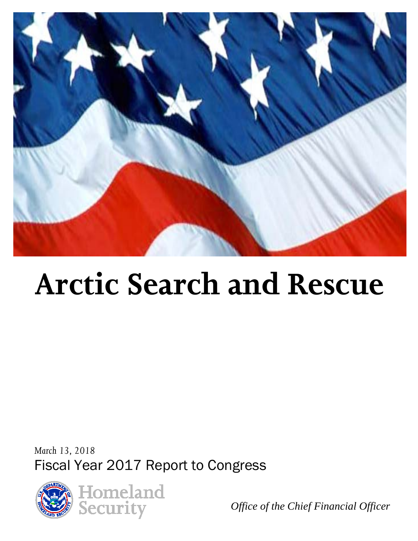

# **Arctic Search and Rescue**

*March 13, 2018* Fiscal Year 2017 Report to Congress



*Office of the Chief Financial Officer*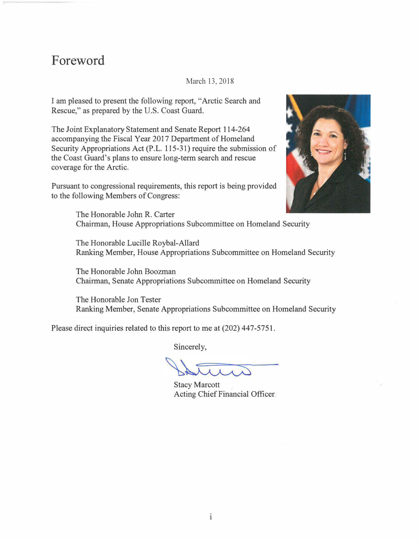## **Foreword**

#### March 13, 2018

I am pleased to present the following report, "Arctic Search and Rescue," as prepared by the U.S. Coast Guard.

The Joint Explanatory Statement and Senate Report 114-264 accompanying the Fiscal Year 2017 Department of Homeland Security Appropriations Act (P.L. 115-31) require the submission of the Coast Guard's plans to ensure long-term search and rescue coverage for the Arctic.

Pursuant to congressional requirements, this report is being provided to the following Members of Congress:



The Honorable John R. Carter Chairman, House Appropriations Subcommittee on Homeland Security

The Honorable Lucille Roybal-Allard Ranking Member, House Appropriations Subcommittee on Homeland Security

The Honorable John Boozman Chairman, Senate Appropriations Subcommittee on Homeland Security

The Honorable Jon Tester Ranking Member, Senate Appropriations Subcommittee on Homeland Security

Please direct inquiries related to this report to me at (202) 447-5751.

Sincerely,

Stacy Marcott Acting Chief Financial Officer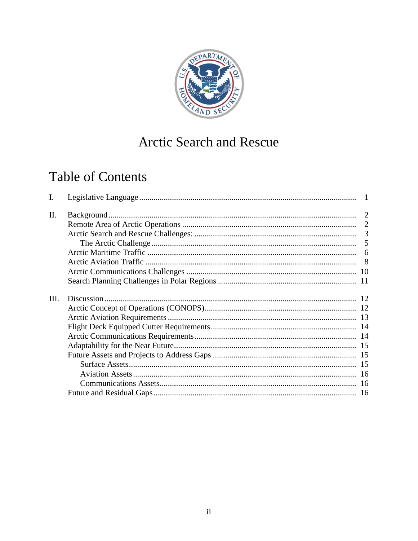

# Arctic Search and Rescue

# **Table of Contents**

| Ι.   |   |
|------|---|
| II.  |   |
|      |   |
|      |   |
|      | 5 |
|      | 6 |
|      |   |
|      |   |
|      |   |
| III. |   |
|      |   |
|      |   |
|      |   |
|      |   |
|      |   |
|      |   |
|      |   |
|      |   |
|      |   |
|      |   |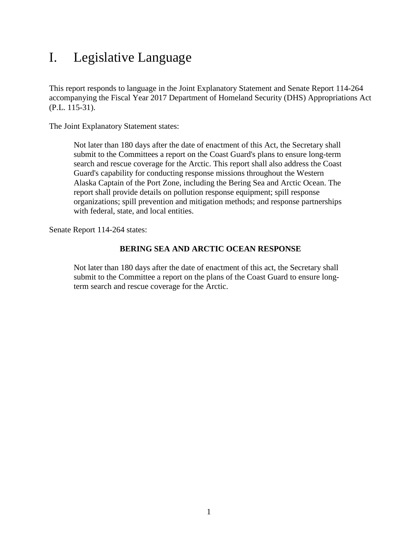# <span id="page-3-0"></span>I. Legislative Language

This report responds to language in the Joint Explanatory Statement and Senate Report 114-264 accompanying the Fiscal Year 2017 Department of Homeland Security (DHS) Appropriations Act (P.L. 115-31).

The Joint Explanatory Statement states:

Not later than 180 days after the date of enactment of this Act, the Secretary shall submit to the Committees a report on the Coast Guard's plans to ensure long-term search and rescue coverage for the Arctic. This report shall also address the Coast Guard's capability for conducting response missions throughout the Western Alaska Captain of the Port Zone, including the Bering Sea and Arctic Ocean. The report shall provide details on pollution response equipment; spill response organizations; spill prevention and mitigation methods; and response partnerships with federal, state, and local entities.

Senate Report 114-264 states:

#### **BERING SEA AND ARCTIC OCEAN RESPONSE**

Not later than 180 days after the date of enactment of this act, the Secretary shall submit to the Committee a report on the plans of the Coast Guard to ensure longterm search and rescue coverage for the Arctic.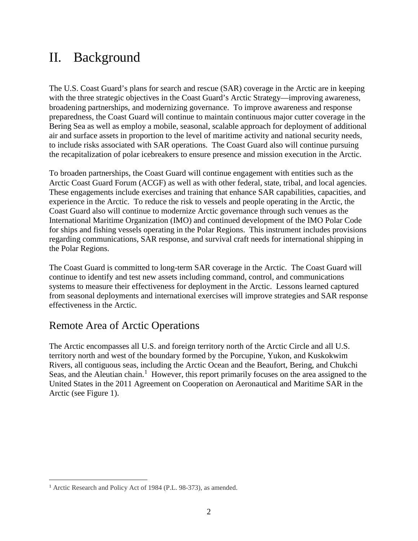# <span id="page-4-0"></span>II. Background

The U.S. Coast Guard's plans for search and rescue (SAR) coverage in the Arctic are in keeping with the three strategic objectives in the Coast Guard's Arctic Strategy—improving awareness, broadening partnerships, and modernizing governance. To improve awareness and response preparedness, the Coast Guard will continue to maintain continuous major cutter coverage in the Bering Sea as well as employ a mobile, seasonal, scalable approach for deployment of additional air and surface assets in proportion to the level of maritime activity and national security needs, to include risks associated with SAR operations. The Coast Guard also will continue pursuing the recapitalization of polar icebreakers to ensure presence and mission execution in the Arctic.

To broaden partnerships, the Coast Guard will continue engagement with entities such as the Arctic Coast Guard Forum (ACGF) as well as with other federal, state, tribal, and local agencies. These engagements include exercises and training that enhance SAR capabilities, capacities, and experience in the Arctic. To reduce the risk to vessels and people operating in the Arctic, the Coast Guard also will continue to modernize Arctic governance through such venues as the International Maritime Organization (IMO) and continued development of the IMO Polar Code for ships and fishing vessels operating in the Polar Regions. This instrument includes provisions regarding communications, SAR response, and survival craft needs for international shipping in the Polar Regions.

The Coast Guard is committed to long-term SAR coverage in the Arctic. The Coast Guard will continue to identify and test new assets including command, control, and communications systems to measure their effectiveness for deployment in the Arctic. Lessons learned captured from seasonal deployments and international exercises will improve strategies and SAR response effectiveness in the Arctic.

### <span id="page-4-1"></span>Remote Area of Arctic Operations

The Arctic encompasses all U.S. and foreign territory north of the Arctic Circle and all U.S. territory north and west of the boundary formed by the Porcupine, Yukon, and Kuskokwim Rivers, all contiguous seas, including the Arctic Ocean and the Beaufort, Bering, and Chukchi Seas, and the Aleutian chain.<sup>[1](#page-4-2)</sup> However, this report primarily focuses on the area assigned to the United States in the 2011 Agreement on Cooperation on Aeronautical and Maritime SAR in the Arctic (see Figure 1).

 $\overline{a}$ 

<span id="page-4-2"></span><sup>&</sup>lt;sup>1</sup> Arctic Research and Policy Act of 1984 (P.L. 98-373), as amended.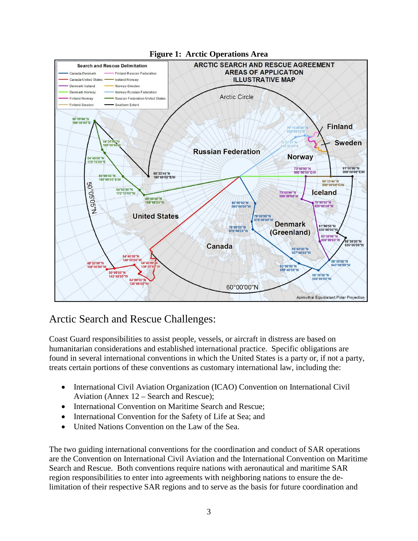

## <span id="page-5-0"></span>Arctic Search and Rescue Challenges:

Coast Guard responsibilities to assist people, vessels, or aircraft in distress are based on humanitarian considerations and established international practice. Specific obligations are found in several international conventions in which the United States is a party or, if not a party, treats certain portions of these conventions as customary international law, including the:

- International Civil Aviation Organization (ICAO) Convention on International Civil Aviation (Annex 12 – Search and Rescue);
- International Convention on Maritime Search and Rescue;
- International Convention for the Safety of Life at Sea; and
- United Nations Convention on the Law of the Sea.

The two guiding international conventions for the coordination and conduct of SAR operations are the Convention on International Civil Aviation and the International Convention on Maritime Search and Rescue. Both conventions require nations with aeronautical and maritime SAR region responsibilities to enter into agreements with neighboring nations to ensure the delimitation of their respective SAR regions and to serve as the basis for future coordination and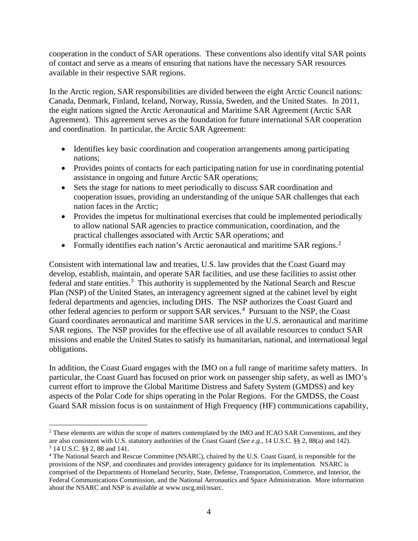cooperation in the conduct of SAR operations. These conventions also identify vital SAR points of contact and serve as a means of ensuring that nations have the necessary SAR resources available in their respective SAR regions.

In the Arctic region, SAR responsibilities are divided between the eight Arctic Council nations: Canada, Denmark, Finland, Iceland, Norway, Russia, Sweden, and the United States. In 2011, the eight nations signed the Arctic Aeronautical and Maritime SAR Agreement (Arctic SAR Agreement). This agreement serves as the foundation for future international SAR cooperation and coordination. In particular, the Arctic SAR Agreement:

- Identifies key basic coordination and cooperation arrangements among participating nations;
- Provides points of contacts for each participating nation for use in coordinating potential assistance in ongoing and future Arctic SAR operations;
- Sets the stage for nations to meet periodically to discuss SAR coordination and cooperation issues, providing an understanding of the unique SAR challenges that each nation faces in the Arctic;
- Provides the impetus for multinational exercises that could be implemented periodically to allow national SAR agencies to practice communication, coordination, and the practical challenges associated with Arctic SAR operations; and
- Formally identifies each nation's Arctic aeronautical and maritime SAR regions.<sup>[2](#page-6-0)</sup>

Consistent with international law and treaties, U.S. law provides that the Coast Guard may develop, establish, maintain, and operate SAR facilities, and use these facilities to assist other federal and state entities.<sup>[3](#page-6-1)</sup> This authority is supplemented by the National Search and Rescue Plan (NSP) of the United States, an interagency agreement signed at the cabinet level by eight federal departments and agencies, including DHS. The NSP authorizes the Coast Guard and other federal agencies to perform or support SAR services.<sup>[4](#page-6-2)</sup> Pursuant to the NSP, the Coast Guard coordinates aeronautical and maritime SAR services in the U.S. aeronautical and maritime SAR regions. The NSP provides for the effective use of all available resources to conduct SAR missions and enable the United States to satisfy its humanitarian, national, and international legal obligations.

In addition, the Coast Guard engages with the IMO on a full range of maritime safety matters. In particular, the Coast Guard has focused on prior work on passenger ship safety, as well as IMO's current effort to improve the Global Maritime Distress and Safety System (GMDSS) and key aspects of the Polar Code for ships operating in the Polar Regions. For the GMDSS, the Coast Guard SAR mission focus is on sustainment of High Frequency (HF) communications capability,

<span id="page-6-0"></span> $\overline{a}$ <sup>2</sup> These elements are within the scope of matters contemplated by the IMO and ICAO SAR Conventions, and they are also consistent with U.S. statutory authorities of the Coast Guard (*See e.g.,* 14 U.S.C. §§ 2, 88(a) and 142). 3 14 U.S.C. §§ 2, 88 and 141.

<span id="page-6-2"></span><span id="page-6-1"></span><sup>4</sup> The National Search and Rescue Committee (NSARC), chaired by the U.S. Coast Guard, is responsible for the provisions of the NSP, and coordinates and provides interagency guidance for its implementation. NSARC is comprised of the Departments of Homeland Security, State, Defense, Transportation, Commerce, and Interior, the Federal Communications Commission, and the National Aeronautics and Space Administration. More information about the NSARC and NSP is available at www.uscg.mil/nsarc.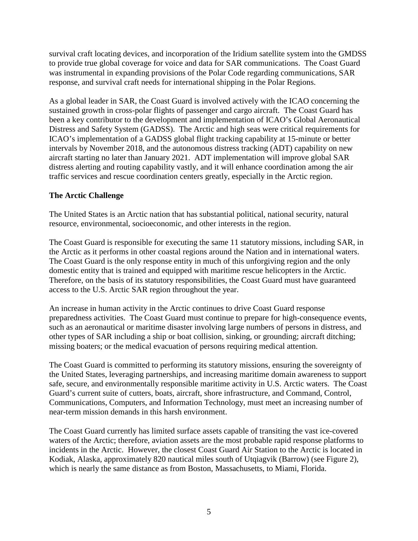survival craft locating devices, and incorporation of the Iridium satellite system into the GMDSS to provide true global coverage for voice and data for SAR communications. The Coast Guard was instrumental in expanding provisions of the Polar Code regarding communications, SAR response, and survival craft needs for international shipping in the Polar Regions.

As a global leader in SAR, the Coast Guard is involved actively with the ICAO concerning the sustained growth in cross-polar flights of passenger and cargo aircraft. The Coast Guard has been a key contributor to the development and implementation of ICAO's Global Aeronautical Distress and Safety System (GADSS). The Arctic and high seas were critical requirements for ICAO's implementation of a GADSS global flight tracking capability at 15-minute or better intervals by November 2018, and the autonomous distress tracking (ADT) capability on new aircraft starting no later than January 2021. ADT implementation will improve global SAR distress alerting and routing capability vastly, and it will enhance coordination among the air traffic services and rescue coordination centers greatly, especially in the Arctic region.

#### <span id="page-7-0"></span>**The Arctic Challenge**

The United States is an Arctic nation that has substantial political, national security, natural resource, environmental, socioeconomic, and other interests in the region.

The Coast Guard is responsible for executing the same 11 statutory missions, including SAR, in the Arctic as it performs in other coastal regions around the Nation and in international waters. The Coast Guard is the only response entity in much of this unforgiving region and the only domestic entity that is trained and equipped with maritime rescue helicopters in the Arctic. Therefore, on the basis of its statutory responsibilities, the Coast Guard must have guaranteed access to the U.S. Arctic SAR region throughout the year.

An increase in human activity in the Arctic continues to drive Coast Guard response preparedness activities. The Coast Guard must continue to prepare for high-consequence events, such as an aeronautical or maritime disaster involving large numbers of persons in distress, and other types of SAR including a ship or boat collision, sinking, or grounding; aircraft ditching; missing boaters; or the medical evacuation of persons requiring medical attention.

The Coast Guard is committed to performing its statutory missions, ensuring the sovereignty of the United States, leveraging partnerships, and increasing maritime domain awareness to support safe, secure, and environmentally responsible maritime activity in U.S. Arctic waters. The Coast Guard's current suite of cutters, boats, aircraft, shore infrastructure, and Command, Control, Communications, Computers, and Information Technology, must meet an increasing number of near-term mission demands in this harsh environment.

The Coast Guard currently has limited surface assets capable of transiting the vast ice-covered waters of the Arctic; therefore, aviation assets are the most probable rapid response platforms to incidents in the Arctic. However, the closest Coast Guard Air Station to the Arctic is located in Kodiak, Alaska, approximately 820 nautical miles south of Utqiagvik (Barrow) (see Figure 2), which is nearly the same distance as from Boston, Massachusetts, to Miami, Florida.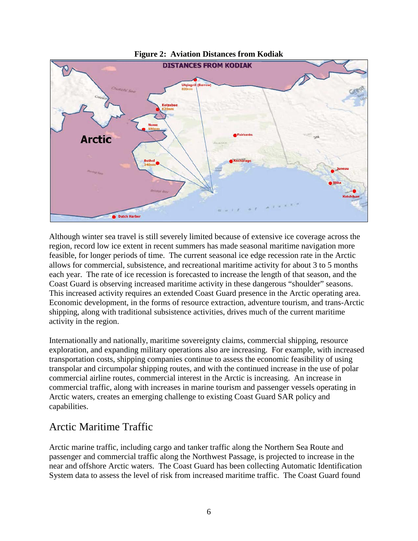

#### **Figure 2: Aviation Distances from Kodiak**

Although winter sea travel is still severely limited because of extensive ice coverage across the region, record low ice extent in recent summers has made seasonal maritime navigation more feasible, for longer periods of time. The current seasonal ice edge recession rate in the Arctic allows for commercial, subsistence, and recreational maritime activity for about 3 to 5 months each year. The rate of ice recession is forecasted to increase the length of that season, and the Coast Guard is observing increased maritime activity in these dangerous "shoulder" seasons. This increased activity requires an extended Coast Guard presence in the Arctic operating area. Economic development, in the forms of resource extraction, adventure tourism, and trans-Arctic shipping, along with traditional subsistence activities, drives much of the current maritime activity in the region.

Internationally and nationally, maritime sovereignty claims, commercial shipping, resource exploration, and expanding military operations also are increasing. For example, with increased transportation costs, shipping companies continue to assess the economic feasibility of using transpolar and circumpolar shipping routes, and with the continued increase in the use of polar commercial airline routes, commercial interest in the Arctic is increasing. An increase in commercial traffic, along with increases in marine tourism and passenger vessels operating in Arctic waters, creates an emerging challenge to existing Coast Guard SAR policy and capabilities.

#### <span id="page-8-0"></span>Arctic Maritime Traffic

Arctic marine traffic, including cargo and tanker traffic along the Northern Sea Route and passenger and commercial traffic along the Northwest Passage, is projected to increase in the near and offshore Arctic waters. The Coast Guard has been collecting Automatic Identification System data to assess the level of risk from increased maritime traffic. The Coast Guard found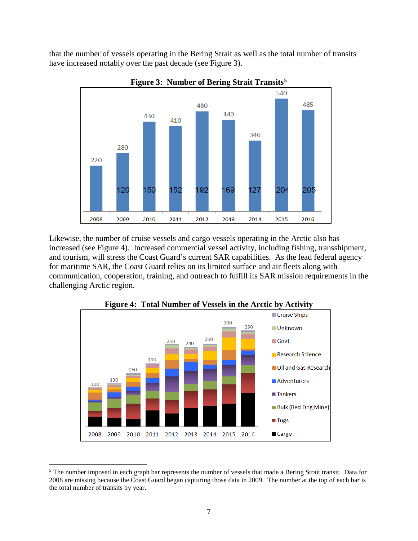that the number of vessels operating in the Bering Strait as well as the total number of transits have increased notably over the past decade (see Figure 3).



**Figure 3: Number of Bering Strait Transits[5](#page-9-0)**

Likewise, the number of cruise vessels and cargo vessels operating in the Arctic also has increased (see Figure 4). Increased commercial vessel activity, including fishing, transshipment, and tourism, will stress the Coast Guard's current SAR capabilities. As the lead federal agency for maritime SAR, the Coast Guard relies on its limited surface and air fleets along with communication, cooperation, training, and outreach to fulfill its SAR mission requirements in the challenging Arctic region.



**Figure 4: Total Number of Vessels in the Arctic by Activity**

<span id="page-9-0"></span> $\overline{a}$ <sup>5</sup> The number imposed in each graph bar represents the number of vessels that made a Bering Strait transit. Data for 2008 are missing because the Coast Guard began capturing those data in 2009. The number at the top of each bar is the total number of transits by year.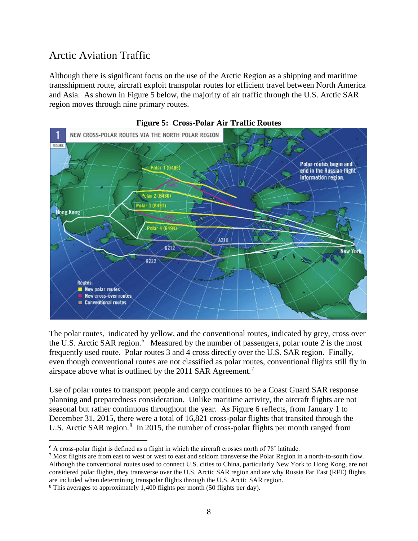## <span id="page-10-0"></span>Arctic Aviation Traffic

Although there is significant focus on the use of the Arctic Region as a shipping and maritime transshipment route, aircraft exploit transpolar routes for efficient travel between North America and Asia. As shown in Figure 5 below, the majority of air traffic through the U.S. Arctic SAR region moves through nine primary routes.



**Figure 5: Cross-Polar Air Traffic Routes**

The polar routes, indicated by yellow, and the conventional routes, indicated by grey, cross over the U.S. Arctic SAR region.<sup>[6](#page-10-1)</sup> Measured by the number of passengers, polar route 2 is the most frequently used route. Polar routes 3 and 4 cross directly over the U.S. SAR region. Finally, even though conventional routes are not classified as polar routes, conventional flights still fly in airspace above what is outlined by the 2011 SAR Agreement.<sup>[7](#page-10-2)</sup>

Use of polar routes to transport people and cargo continues to be a Coast Guard SAR response planning and preparedness consideration. Unlike maritime activity, the aircraft flights are not seasonal but rather continuous throughout the year. As Figure 6 reflects, from January 1 to December 31, 2015, there were a total of 16,821 cross-polar flights that transited through the U.S. Arctic SAR region.<sup>[8](#page-10-3)</sup> In 2015, the number of cross-polar flights per month ranged from

<span id="page-10-1"></span> $\overline{a}$ <sup>6</sup> A cross-polar flight is defined as a flight in which the aircraft crosses north of 78˚ latitude.

<span id="page-10-2"></span> $^7$  Most flights are from east to west or west to east and seldom transverse the Polar Region in a north-to-south flow. Although the conventional routes used to connect U.S. cities to China, particularly New York to Hong Kong, are not considered polar flights, they transverse over the U.S. Arctic SAR region and are why Russia Far East (RFE) flights are included when determining transpolar flights through the U.S. Arctic SAR region. 8 This averages to approximately 1,400 flights per month (50 flights per day).

<span id="page-10-3"></span>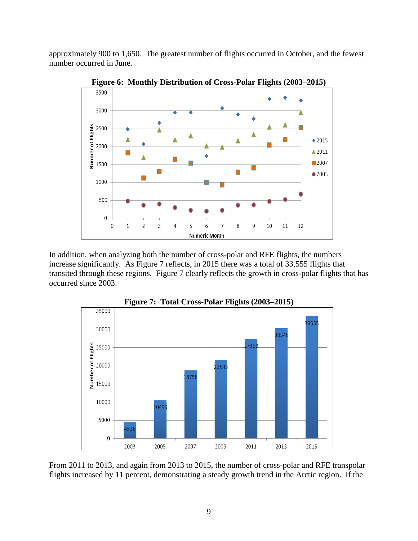approximately 900 to 1,650. The greatest number of flights occurred in October, and the fewest number occurred in June.



**Figure 6: Monthly Distribution of Cross-Polar Flights (2003–2015)** 

In addition, when analyzing both the number of cross-polar and RFE flights, the numbers increase significantly. As Figure 7 reflects, in 2015 there was a total of 33,555 flights that transited through these regions. Figure 7 clearly reflects the growth in cross-polar flights that has occurred since 2003.



**Figure 7: Total Cross-Polar Flights (2003–2015)** 

From 2011 to 2013, and again from 2013 to 2015, the number of cross-polar and RFE transpolar flights increased by 11 percent, demonstrating a steady growth trend in the Arctic region. If the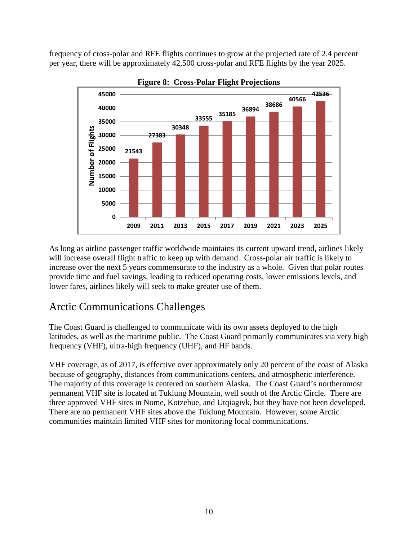frequency of cross-polar and RFE flights continues to grow at the projected rate of 2.4 percent per year, there will be approximately 42,500 cross-polar and RFE flights by the year 2025.



**Figure 8: Cross-Polar Flight Projections**

As long as airline passenger traffic worldwide maintains its current upward trend, airlines likely will increase overall flight traffic to keep up with demand. Cross-polar air traffic is likely to increase over the next 5 years commensurate to the industry as a whole. Given that polar routes provide time and fuel savings, leading to reduced operating costs, lower emissions levels, and lower fares, airlines likely will seek to make greater use of them.

### <span id="page-12-0"></span>Arctic Communications Challenges

The Coast Guard is challenged to communicate with its own assets deployed to the high latitudes, as well as the maritime public. The Coast Guard primarily communicates via very high frequency (VHF), ultra-high frequency (UHF), and HF bands.

VHF coverage, as of 2017, is effective over approximately only 20 percent of the coast of Alaska because of geography, distances from communications centers, and atmospheric interference. The majority of this coverage is centered on southern Alaska. The Coast Guard's northernmost permanent VHF site is located at Tuklung Mountain, well south of the Arctic Circle. There are three approved VHF sites in Nome, Kotzebue, and Utqiagivk, but they have not been developed. There are no permanent VHF sites above the Tuklung Mountain. However, some Arctic communities maintain limited VHF sites for monitoring local communications.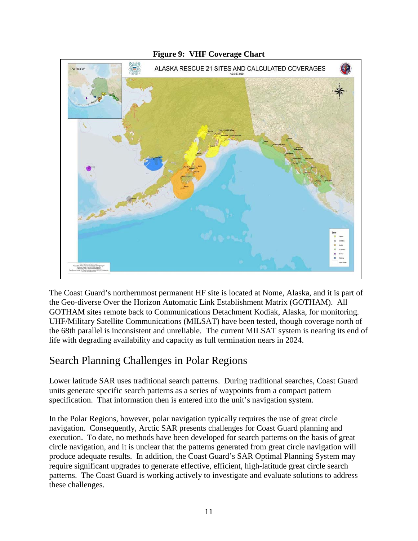

**Figure 9: VHF Coverage Chart** 

The Coast Guard's northernmost permanent HF site is located at Nome, Alaska, and it is part of the Geo-diverse Over the Horizon Automatic Link Establishment Matrix (GOTHAM). All GOTHAM sites remote back to Communications Detachment Kodiak, Alaska, for monitoring. UHF/Military Satellite Communications (MILSAT) have been tested, though coverage north of the 68th parallel is inconsistent and unreliable. The current MILSAT system is nearing its end of life with degrading availability and capacity as full termination nears in 2024.

### <span id="page-13-0"></span>Search Planning Challenges in Polar Regions

Lower latitude SAR uses traditional search patterns. During traditional searches, Coast Guard units generate specific search patterns as a series of waypoints from a compact pattern specification. That information then is entered into the unit's navigation system.

In the Polar Regions, however, polar navigation typically requires the use of great circle navigation. Consequently, Arctic SAR presents challenges for Coast Guard planning and execution. To date, no methods have been developed for search patterns on the basis of great circle navigation, and it is unclear that the patterns generated from great circle navigation will produce adequate results. In addition, the Coast Guard's SAR Optimal Planning System may require significant upgrades to generate effective, efficient, high-latitude great circle search patterns. The Coast Guard is working actively to investigate and evaluate solutions to address these challenges.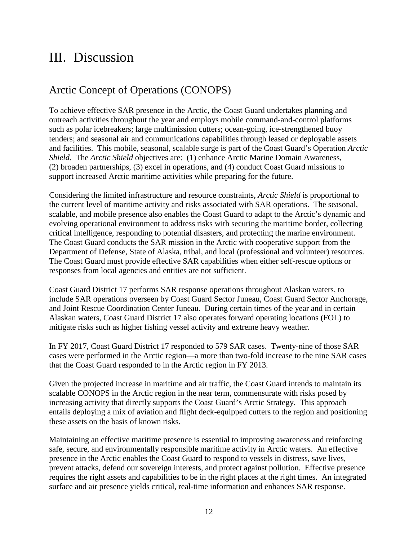# <span id="page-14-0"></span>III. Discussion

## <span id="page-14-1"></span>Arctic Concept of Operations (CONOPS)

To achieve effective SAR presence in the Arctic, the Coast Guard undertakes planning and outreach activities throughout the year and employs mobile command-and-control platforms such as polar icebreakers; large multimission cutters; ocean-going, ice-strengthened buoy tenders; and seasonal air and communications capabilities through leased or deployable assets and facilities. This mobile, seasonal, scalable surge is part of the Coast Guard's Operation *Arctic Shield*. The *Arctic Shield* objectives are: (1) enhance Arctic Marine Domain Awareness, (2) broaden partnerships, (3) excel in operations, and (4) conduct Coast Guard missions to support increased Arctic maritime activities while preparing for the future.

Considering the limited infrastructure and resource constraints, *Arctic Shield* is proportional to the current level of maritime activity and risks associated with SAR operations. The seasonal, scalable, and mobile presence also enables the Coast Guard to adapt to the Arctic's dynamic and evolving operational environment to address risks with securing the maritime border, collecting critical intelligence, responding to potential disasters, and protecting the marine environment. The Coast Guard conducts the SAR mission in the Arctic with cooperative support from the Department of Defense, State of Alaska, tribal, and local (professional and volunteer) resources. The Coast Guard must provide effective SAR capabilities when either self-rescue options or responses from local agencies and entities are not sufficient.

Coast Guard District 17 performs SAR response operations throughout Alaskan waters, to include SAR operations overseen by Coast Guard Sector Juneau, Coast Guard Sector Anchorage, and Joint Rescue Coordination Center Juneau. During certain times of the year and in certain Alaskan waters, Coast Guard District 17 also operates forward operating locations (FOL) to mitigate risks such as higher fishing vessel activity and extreme heavy weather.

In FY 2017, Coast Guard District 17 responded to 579 SAR cases. Twenty-nine of those SAR cases were performed in the Arctic region—a more than two-fold increase to the nine SAR cases that the Coast Guard responded to in the Arctic region in FY 2013.

Given the projected increase in maritime and air traffic, the Coast Guard intends to maintain its scalable CONOPS in the Arctic region in the near term, commensurate with risks posed by increasing activity that directly supports the Coast Guard's Arctic Strategy. This approach entails deploying a mix of aviation and flight deck-equipped cutters to the region and positioning these assets on the basis of known risks.

Maintaining an effective maritime presence is essential to improving awareness and reinforcing safe, secure, and environmentally responsible maritime activity in Arctic waters. An effective presence in the Arctic enables the Coast Guard to respond to vessels in distress, save lives, prevent attacks, defend our sovereign interests, and protect against pollution. Effective presence requires the right assets and capabilities to be in the right places at the right times. An integrated surface and air presence yields critical, real-time information and enhances SAR response.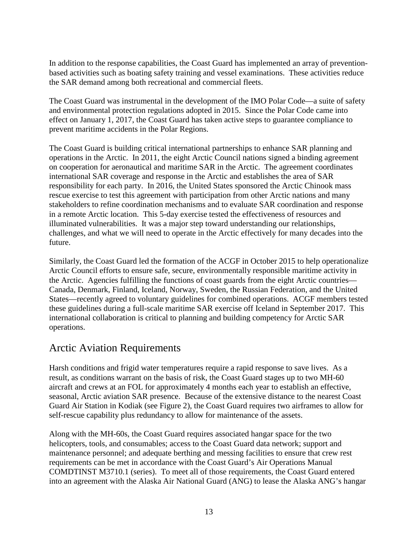In addition to the response capabilities, the Coast Guard has implemented an array of preventionbased activities such as boating safety training and vessel examinations. These activities reduce the SAR demand among both recreational and commercial fleets.

The Coast Guard was instrumental in the development of the IMO Polar Code—a suite of safety and environmental protection regulations adopted in 2015. Since the Polar Code came into effect on January 1, 2017, the Coast Guard has taken active steps to guarantee compliance to prevent maritime accidents in the Polar Regions.

The Coast Guard is building critical international partnerships to enhance SAR planning and operations in the Arctic. In 2011, the eight Arctic Council nations signed a binding agreement on cooperation for aeronautical and maritime SAR in the Arctic. The agreement coordinates international SAR coverage and response in the Arctic and establishes the area of SAR responsibility for each party. In 2016, the United States sponsored the Arctic Chinook mass rescue exercise to test this agreement with participation from other Arctic nations and many stakeholders to refine coordination mechanisms and to evaluate SAR coordination and response in a remote Arctic location. This 5-day exercise tested the effectiveness of resources and illuminated vulnerabilities. It was a major step toward understanding our relationships, challenges, and what we will need to operate in the Arctic effectively for many decades into the future.

Similarly, the Coast Guard led the formation of the ACGF in October 2015 to help operationalize Arctic Council efforts to ensure safe, secure, environmentally responsible maritime activity in the Arctic. Agencies fulfilling the functions of coast guards from the eight Arctic countries— Canada, Denmark, Finland, Iceland, Norway, Sweden, the Russian Federation, and the United States—recently agreed to voluntary guidelines for combined operations. ACGF members tested these guidelines during a full-scale maritime SAR exercise off Iceland in September 2017. This international collaboration is critical to planning and building competency for Arctic SAR operations.

#### <span id="page-15-0"></span>Arctic Aviation Requirements

Harsh conditions and frigid water temperatures require a rapid response to save lives. As a result, as conditions warrant on the basis of risk, the Coast Guard stages up to two MH-60 aircraft and crews at an FOL for approximately 4 months each year to establish an effective, seasonal, Arctic aviation SAR presence. Because of the extensive distance to the nearest Coast Guard Air Station in Kodiak (see Figure 2), the Coast Guard requires two airframes to allow for self-rescue capability plus redundancy to allow for maintenance of the assets.

Along with the MH-60s, the Coast Guard requires associated hangar space for the two helicopters, tools, and consumables; access to the Coast Guard data network; support and maintenance personnel; and adequate berthing and messing facilities to ensure that crew rest requirements can be met in accordance with the Coast Guard's Air Operations Manual COMDTINST M3710.1 (series). To meet all of those requirements, the Coast Guard entered into an agreement with the Alaska Air National Guard (ANG) to lease the Alaska ANG's hangar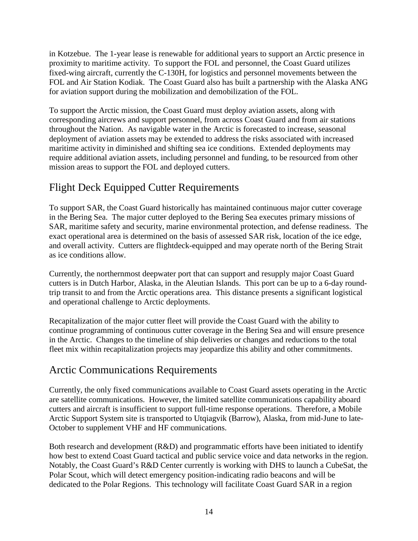in Kotzebue. The 1-year lease is renewable for additional years to support an Arctic presence in proximity to maritime activity. To support the FOL and personnel, the Coast Guard utilizes fixed-wing aircraft, currently the C-130H, for logistics and personnel movements between the FOL and Air Station Kodiak. The Coast Guard also has built a partnership with the Alaska ANG for aviation support during the mobilization and demobilization of the FOL.

To support the Arctic mission, the Coast Guard must deploy aviation assets, along with corresponding aircrews and support personnel, from across Coast Guard and from air stations throughout the Nation. As navigable water in the Arctic is forecasted to increase, seasonal deployment of aviation assets may be extended to address the risks associated with increased maritime activity in diminished and shifting sea ice conditions. Extended deployments may require additional aviation assets, including personnel and funding, to be resourced from other mission areas to support the FOL and deployed cutters.

# <span id="page-16-0"></span>Flight Deck Equipped Cutter Requirements

To support SAR, the Coast Guard historically has maintained continuous major cutter coverage in the Bering Sea. The major cutter deployed to the Bering Sea executes primary missions of SAR, maritime safety and security, marine environmental protection, and defense readiness. The exact operational area is determined on the basis of assessed SAR risk, location of the ice edge, and overall activity. Cutters are flightdeck-equipped and may operate north of the Bering Strait as ice conditions allow.

Currently, the northernmost deepwater port that can support and resupply major Coast Guard cutters is in Dutch Harbor, Alaska, in the Aleutian Islands. This port can be up to a 6-day roundtrip transit to and from the Arctic operations area. This distance presents a significant logistical and operational challenge to Arctic deployments.

Recapitalization of the major cutter fleet will provide the Coast Guard with the ability to continue programming of continuous cutter coverage in the Bering Sea and will ensure presence in the Arctic. Changes to the timeline of ship deliveries or changes and reductions to the total fleet mix within recapitalization projects may jeopardize this ability and other commitments.

### <span id="page-16-1"></span>Arctic Communications Requirements

Currently, the only fixed communications available to Coast Guard assets operating in the Arctic are satellite communications. However, the limited satellite communications capability aboard cutters and aircraft is insufficient to support full-time response operations. Therefore, a Mobile Arctic Support System site is transported to Utqiagvik (Barrow), Alaska, from mid-June to late-October to supplement VHF and HF communications.

Both research and development (R&D) and programmatic efforts have been initiated to identify how best to extend Coast Guard tactical and public service voice and data networks in the region. Notably, the Coast Guard's R&D Center currently is working with DHS to launch a CubeSat, the Polar Scout, which will detect emergency position-indicating radio beacons and will be dedicated to the Polar Regions. This technology will facilitate Coast Guard SAR in a region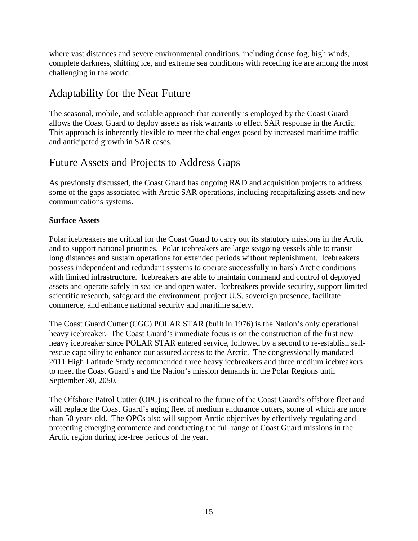where vast distances and severe environmental conditions, including dense fog, high winds, complete darkness, shifting ice, and extreme sea conditions with receding ice are among the most challenging in the world.

## <span id="page-17-0"></span>Adaptability for the Near Future

The seasonal, mobile, and scalable approach that currently is employed by the Coast Guard allows the Coast Guard to deploy assets as risk warrants to effect SAR response in the Arctic. This approach is inherently flexible to meet the challenges posed by increased maritime traffic and anticipated growth in SAR cases.

#### <span id="page-17-1"></span>Future Assets and Projects to Address Gaps

As previously discussed, the Coast Guard has ongoing R&D and acquisition projects to address some of the gaps associated with Arctic SAR operations, including recapitalizing assets and new communications systems.

#### <span id="page-17-2"></span>**Surface Assets**

Polar icebreakers are critical for the Coast Guard to carry out its statutory missions in the Arctic and to support national priorities. Polar icebreakers are large seagoing vessels able to transit long distances and sustain operations for extended periods without replenishment. Icebreakers possess independent and redundant systems to operate successfully in harsh Arctic conditions with limited infrastructure. Icebreakers are able to maintain command and control of deployed assets and operate safely in sea ice and open water. Icebreakers provide security, support limited scientific research, safeguard the environment, project U.S. sovereign presence, facilitate commerce, and enhance national security and maritime safety.

The Coast Guard Cutter (CGC) POLAR STAR (built in 1976) is the Nation's only operational heavy icebreaker. The Coast Guard's immediate focus is on the construction of the first new heavy icebreaker since POLAR STAR entered service, followed by a second to re-establish selfrescue capability to enhance our assured access to the Arctic. The congressionally mandated 2011 High Latitude Study recommended three heavy icebreakers and three medium icebreakers to meet the Coast Guard's and the Nation's mission demands in the Polar Regions until September 30, 2050.

<span id="page-17-3"></span>The Offshore Patrol Cutter (OPC) is critical to the future of the Coast Guard's offshore fleet and will replace the Coast Guard's aging fleet of medium endurance cutters, some of which are more than 50 years old. The OPCs also will support Arctic objectives by effectively regulating and protecting emerging commerce and conducting the full range of Coast Guard missions in the Arctic region during ice-free periods of the year.